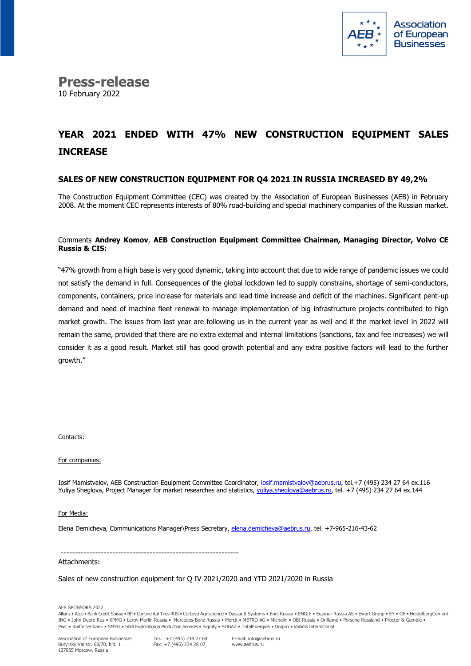

**Press-release** 10 February 2022

# **YEAR 2021 ENDED WITH 47% NEW CONSTRUCTION EQUIPMENT SALES INCREASE**

### **SALES OF NEW CONSTRUCTION EQUIPMENT FOR Q4 2021 IN RUSSIA INCREASED BY 49,2%**

The Construction Equipment Committee (CEC) was created by the Association of European Businesses (AEB) in February 2008. At the moment CEC represents interests of 80% road-building and special machinery companies of the Russian market.

#### Comments **Andrey Komov**, **AEB Construction Equipment Committee Chairman, Managing Director, Volvo CE Russia & CIS:**

"47% growth from a high base is very good dynamic, taking into account that due to wide range of pandemic issues we could not satisfy the demand in full. Consequences of the global lockdown led to supply constrains, shortage of semi-conductors, components, containers, price increase for materials and lead time increase and deficit of the machines. Significant pent-up demand and need of machine fleet renewal to manage implementation of big infrastructure projects contributed to high market growth. The issues from last year are following us in the current year as well and if the market level in 2022 will remain the same, provided that there are no extra external and internal limitations (sanctions, tax and fee increases) we will consider it as a good result. Market still has good growth potential and any extra positive factors will lead to the further growth."

Contacts:

For companies:

Iosif Mamistvalov, AEB Construction Equipment Committee Coordinator, iosif.mamistvalov@aebrus.ru, tel.+7 (495) 234 27 64 ex.116 Yuliya Sheglova, Project Manager for market researches and statistics[, yuliya.sheglova@aebrus.ru,](mailto:yuliya.sheglova@aebrus.ru) tel. +7 (495) 234 27 64 ex.144

For Media:

Elena Demicheva, Communications Manager\Press Secretary[, elena.demicheva@aebrus.ru,](mailto:elena.demicheva@aebrus.ru) tel. +7-965-216-43-62

--------------------------------------------------------------

#### Attachments:

Sales of new construction equipment for Q IV 2021/2020 and YTD 2021/2020 in Russia

AEB SPONSORS 2022

Allianz • Atos • Bank Credit Suisse • BP • Continental Tires RUS • Corteva Agriscience • Dassault Systems • Enel Russia • ENGIE • Equinor Russia AS • Ewart Group • EY • GE • HeidelbergCement ING • John Deere Rus • KPMG • Leroy Merlin Russia • Mercedes-Benz Russia • Merck • METRO AG • Michelin • OBI Russia • Oriflame • Porsche Russland • Procter & Gamble • PwC • Raiffeisenbank • SMEG • Shell Exploration & Production Services • Signify • SOGAZ • TotalEnergies • Unipro • Valartis International

Association of European Businesses Butyrsky Val str. 68/70, bld. 1 127055 Moscow, Russia

Tel.: +7 (495) 234 27 64 Fax: +7 (495) 234 28 07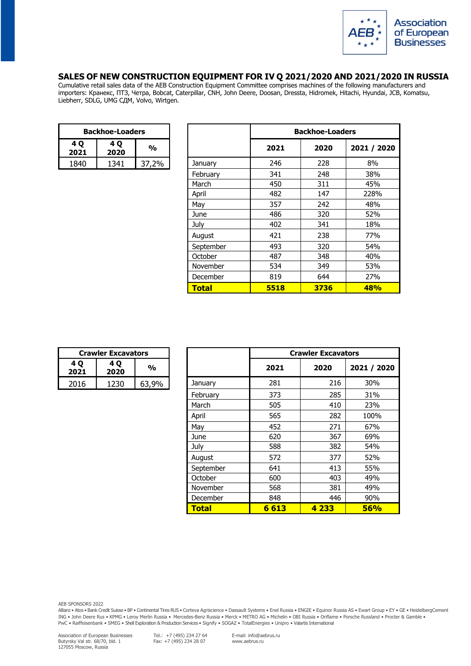

## **SALES OF NEW CONSTRUCTION EQUIPMENT FOR IV Q 2021/2020 AND 2021/2020 IN RUSSIA**

Cumulative retail sales data of the AEB Construction Equipment Committee comprises machines of the following manufacturers and importers: Кранекс, ПТЗ, Четра, Bobcat, Caterpillar, CNH, John Deere, Doosan, Dressta, Hidromek, Hitachi, Hyundai, JCB, Komatsu, Liebherr, SDLG, UMG СДМ, Volvo, Wirtgen.

| <b>Backhoe-Loaders</b>                     |      |    |  |  |
|--------------------------------------------|------|----|--|--|
| 4 <sub>0</sub><br>4 Q<br>%<br>2021<br>2020 |      |    |  |  |
| 1840                                       | 1341 | ጋ‰ |  |  |

| <b>Backhoe-Loaders</b> |             |               |                 | <b>Backhoe-Loaders</b> |      |             |
|------------------------|-------------|---------------|-----------------|------------------------|------|-------------|
| 4 Q<br>2021            | 4 Q<br>2020 | $\frac{0}{0}$ |                 | 2021                   | 2020 | 2021 / 2020 |
| 1840                   | 1341        | 37,2%         | January         | 246                    | 228  | 8%          |
|                        |             |               | February        | 341                    | 248  | 38%         |
|                        |             |               | March           | 450                    | 311  | 45%         |
|                        |             |               | April           | 482                    | 147  | 228%        |
|                        |             |               | May             | 357                    | 242  | 48%         |
|                        |             |               | June            | 486                    | 320  | 52%         |
|                        |             |               | July            | 402                    | 341  | 18%         |
|                        |             |               | August          | 421                    | 238  | 77%         |
|                        |             |               | September       | 493                    | 320  | 54%         |
|                        |             |               | October         | 487                    | 348  | 40%         |
|                        |             |               | <b>November</b> | 534                    | 349  | 53%         |
|                        |             |               | December        | 819                    | 644  | 27%         |
|                        |             |               | <b>Total</b>    | 5518                   | 3736 | <b>48%</b>  |

| <b>Crawler Excavators</b> |      |       |  |
|---------------------------|------|-------|--|
| 4 O<br>2021               | %    |       |  |
| 2016                      | 1230 | 63.9% |  |

| <b>Crawler Excavators</b> |             |               |              |         | <b>Crawler Excavators</b> |             |  |
|---------------------------|-------------|---------------|--------------|---------|---------------------------|-------------|--|
| 4 Q<br>2021               | 4 Q<br>2020 | $\frac{1}{2}$ |              | 2021    | 2020                      | 2021 / 2020 |  |
| 2016                      | 1230        | 63,9%         | January      | 281     | 216                       | 30%         |  |
|                           |             |               | February     | 373     | 285                       | 31%         |  |
|                           |             |               | March        | 505     | 410                       | 23%         |  |
|                           |             |               | April        | 565     | 282                       | 100%        |  |
|                           |             |               | May          | 452     | 271                       | 67%         |  |
|                           |             |               | June         | 620     | 367                       | 69%         |  |
|                           |             |               | July         | 588     | 382                       | 54%         |  |
|                           |             |               | August       | 572     | 377                       | 52%         |  |
|                           |             |               | September    | 641     | 413                       | 55%         |  |
|                           |             |               | October      | 600     | 403                       | 49%         |  |
|                           |             |               | November     | 568     | 381                       | 49%         |  |
|                           |             |               | December     | 848     | 446                       | 90%         |  |
|                           |             |               | <b>Total</b> | 6 6 1 3 | 4 2 3 3                   | 56%         |  |

AEB SPONSORS 2022

Allianz • Atos • Bank Credit Suisse • BP • Continental Tires RUS • Corteva Agriscience • Dassault Systems • Enel Russia • ENGIE • Equinor Russia AS • Ewart Group • EY • GE • HeidelbergCement ING • John Deere Rus • KPMG • Leroy Merlin Russia • Mercedes-Benz Russia • Merck • METRO AG • Michelin • OBI Russia • Oriflame • Porsche Russland • Procter & Gamble • PwC • Raiffeisenbank • SMEG • Shell Exploration & Production Services • Signify • SOGAZ • TotalEnergies • Unipro • Valartis International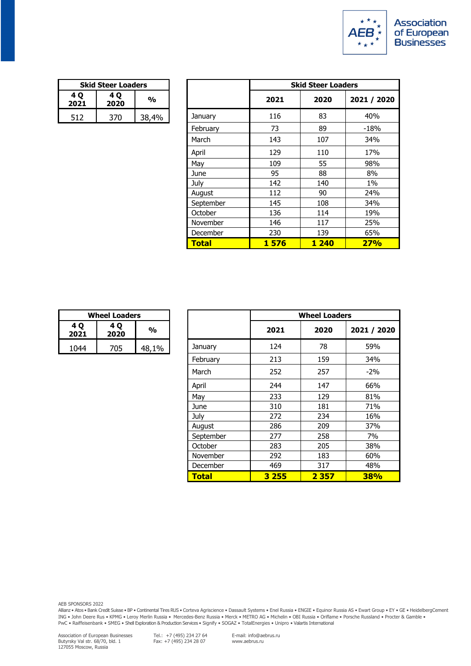

| <b>Skid Steer Loaders</b> |     |       |  |  |
|---------------------------|-----|-------|--|--|
| 4 Q<br>2021               | %   |       |  |  |
| 512                       | 370 | 38,4% |  |  |

|             | <b>Skid Steer Loaders</b> |               |              |      | <b>Skid Steer Loaders</b> |             |  |
|-------------|---------------------------|---------------|--------------|------|---------------------------|-------------|--|
| 4 Q<br>2021 | 4 Q<br>2020               | $\frac{1}{2}$ |              | 2021 | 2020                      | 2021 / 2020 |  |
| 512         | 370                       | 38,4%         | January      | 116  | 83                        | 40%         |  |
|             |                           |               | February     | 73   | 89                        | -18%        |  |
|             |                           |               | March        | 143  | 107                       | 34%         |  |
|             |                           |               | April        | 129  | 110                       | 17%         |  |
|             |                           |               | May          | 109  | 55                        | 98%         |  |
|             |                           |               | June         | 95   | 88                        | 8%          |  |
|             |                           |               | July         | 142  | 140                       | $1\%$       |  |
|             |                           |               | August       | 112  | 90                        | 24%         |  |
|             |                           |               | September    | 145  | 108                       | 34%         |  |
|             |                           |               | October      | 136  | 114                       | 19%         |  |
|             |                           |               | November     | 146  | 117                       | 25%         |  |
|             |                           |               | December     | 230  | 139                       | 65%         |  |
|             |                           |               | <b>Total</b> | 1576 | <b>1240</b>               | 27%         |  |

| <b>Wheel Loaders</b> |     |       |  |  |
|----------------------|-----|-------|--|--|
| 4 O<br>2021          | %   |       |  |  |
| 1044                 | 705 | 48,1% |  |  |

|             | <b>Wheel Loaders</b> |               |              | <b>Wheel Loaders</b> |         |             |
|-------------|----------------------|---------------|--------------|----------------------|---------|-------------|
| 4 Q<br>2021 | 4 Q<br>2020          | $\frac{1}{2}$ |              | 2021                 | 2020    | 2021 / 2020 |
| 1044        | 705                  | 48,1%         | January      | 124                  | 78      | 59%         |
|             |                      |               | February     | 213                  | 159     | 34%         |
|             |                      |               | March        | 252                  | 257     | $-2\%$      |
|             |                      |               | April        | 244                  | 147     | 66%         |
|             |                      |               | May          | 233                  | 129     | 81%         |
|             |                      |               | June         | 310                  | 181     | 71%         |
|             |                      |               | July         | 272                  | 234     | 16%         |
|             |                      |               | August       | 286                  | 209     | 37%         |
|             |                      |               | September    | 277                  | 258     | 7%          |
|             |                      |               | October      | 283                  | 205     | 38%         |
|             |                      |               | November     | 292                  | 183     | 60%         |
|             |                      |               | December     | 469                  | 317     | 48%         |
|             |                      |               | <b>Total</b> | 3 2 5 5              | 2 3 5 7 | <b>38%</b>  |

Allianz • Atos • Bank Credit Suisse • BP • Continental Tires RUS • Corteva Agriscience • Dassault Systems • Enel Russia • ENGIE • Equinor Russia AS • Ewart Group • EY • GE • HeidelbergCement ING • John Deere Rus • KPMG • Leroy Merlin Russia • Mercedes-Benz Russia • Merck • METRO AG • Michelin • OBI Russia • Oriflame • Porsche Russland • Procter & Gamble • PwC • Raiffeisenbank • SMEG • Shell Exploration & Production Services • Signify • SOGAZ • TotalEnergies • Unipro • Valartis International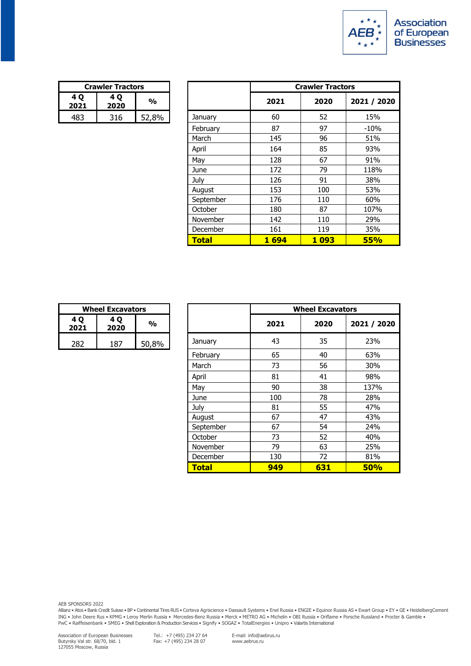

| <b>Crawler Tractors</b>         |     |       |  |
|---------------------------------|-----|-------|--|
| 4 O<br>4 O<br>%<br>2020<br>2021 |     |       |  |
|                                 | 316 | 52,8% |  |

|             | <b>Crawler Tractors</b> |               |              | <b>Crawler Tractors</b> |         |             |
|-------------|-------------------------|---------------|--------------|-------------------------|---------|-------------|
| 4 Q<br>2021 | 4 Q<br>2020             | $\frac{1}{2}$ |              | 2021                    | 2020    | 2021 / 2020 |
| 483         | 316                     | 52,8%         | January      | 60                      | 52      | 15%         |
|             |                         |               | February     | 87                      | 97      | $-10%$      |
|             |                         |               | March        | 145                     | 96      | 51%         |
|             |                         |               | April        | 164                     | 85      | 93%         |
|             |                         |               | May          | 128                     | 67      | 91%         |
|             |                         |               | June         | 172                     | 79      | 118%        |
|             |                         |               | July         | 126                     | 91      | 38%         |
|             |                         |               | August       | 153                     | 100     | 53%         |
|             |                         |               | September    | 176                     | 110     | 60%         |
|             |                         |               | October      | 180                     | 87      | 107%        |
|             |                         |               | November     | 142                     | 110     | 29%         |
|             |                         |               | December     | 161                     | 119     | 35%         |
|             |                         |               | <b>Total</b> | <b>1694</b>             | 1 0 9 3 | <b>55%</b>  |

| <b>Wheel Excavators</b> |     |       |  |  |  |
|-------------------------|-----|-------|--|--|--|
| 4 O<br>2021             | %   |       |  |  |  |
|                         | 187 | 50,8% |  |  |  |

| <b>Wheel Excavators</b> |             |               |              |      | <b>Wheel Excavators</b> |             |  |
|-------------------------|-------------|---------------|--------------|------|-------------------------|-------------|--|
| 4 Q<br>2021             | 4 Q<br>2020 | $\frac{1}{2}$ |              | 2021 | 2020                    | 2021 / 2020 |  |
| 282                     | 187         | 50,8%         | January      | 43   | 35                      | 23%         |  |
|                         |             |               | February     | 65   | 40                      | 63%         |  |
|                         |             |               | March        | 73   | 56                      | 30%         |  |
|                         |             |               | April        | 81   | 41                      | 98%         |  |
|                         |             |               | May          | 90   | 38                      | 137%        |  |
|                         |             |               | June         | 100  | 78                      | 28%         |  |
|                         |             |               | July         | 81   | 55                      | 47%         |  |
|                         |             |               | August       | 67   | 47                      | 43%         |  |
|                         |             |               | September    | 67   | 54                      | 24%         |  |
|                         |             |               | October      | 73   | 52                      | 40%         |  |
|                         |             |               | November     | 79   | 63                      | 25%         |  |
|                         |             |               | December     | 130  | 72                      | 81%         |  |
|                         |             |               | <b>Total</b> | 949  | 631                     | <b>50%</b>  |  |

Allianz • Atos • Bank Credit Suisse • BP • Continental Tires RUS • Corteva Agriscience • Dassault Systems • Enel Russia • ENGIE • Equinor Russia AS • Ewart Group • EY • GE • HeidelbergCement ING • John Deere Rus • KPMG • Leroy Merlin Russia • Mercedes-Benz Russia • Merck • METRO AG • Michelin • OBI Russia • Oriflame • Porsche Russland • Procter & Gamble • PwC • Raiffeisenbank • SMEG • Shell Exploration & Production Services • Signify • SOGAZ • TotalEnergies • Unipro • Valartis International

Tel.: +7 (495) 234 27 64 Fax: +7 (495) 234 28 07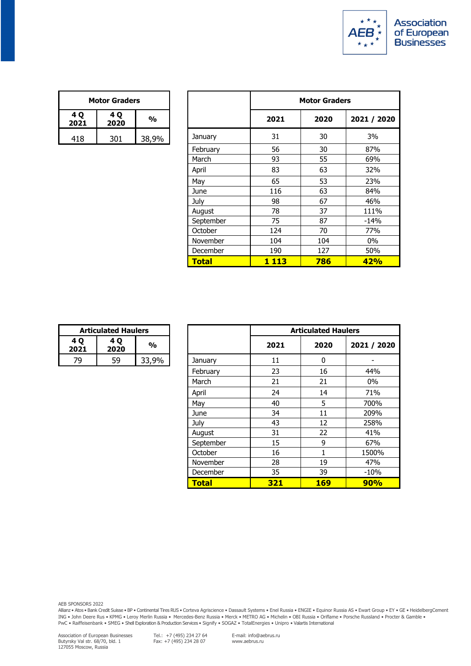

| <b>Motor Graders</b> |     |       |  |  |  |
|----------------------|-----|-------|--|--|--|
| 4 Q<br>2021          | %   |       |  |  |  |
| 418                  | 301 | 38.9% |  |  |  |

| <b>Motor Graders</b> |             |               |              | <b>Motor Graders</b> |      |             |
|----------------------|-------------|---------------|--------------|----------------------|------|-------------|
| 4 Q<br>2021          | 4 Q<br>2020 | $\frac{0}{0}$ |              | 2021                 | 2020 | 2021 / 2020 |
| 418                  | 301         | 38,9%         | January      | 31                   | 30   | 3%          |
|                      |             |               | February     | 56                   | 30   | 87%         |
|                      |             |               | March        | 93                   | 55   | 69%         |
|                      |             |               | April        | 83                   | 63   | 32%         |
|                      |             |               | May          | 65                   | 53   | 23%         |
|                      |             |               | June         | 116                  | 63   | 84%         |
|                      |             |               | July         | 98                   | 67   | 46%         |
|                      |             |               | August       | 78                   | 37   | 111%        |
|                      |             |               | September    | 75                   | 87   | $-14%$      |
|                      |             |               | October      | 124                  | 70   | 77%         |
|                      |             |               | November     | 104                  | 104  | $0\%$       |
|                      |             |               | December     | 190                  | 127  | 50%         |
|                      |             |               | <b>Total</b> | 1 1 1 3              | 786  | 42%         |

| <b>Articulated Haulers</b> |    |       |  |  |
|----------------------------|----|-------|--|--|
| 4 O<br>2021                | %  |       |  |  |
| гq                         | 59 | 33,9% |  |  |

|           | <b>Articulated Haulers</b> |               |              |      | <b>Articulated Haulers</b> |             |
|-----------|----------------------------|---------------|--------------|------|----------------------------|-------------|
| 1Q<br>021 | 4 Q<br>2020                | $\frac{0}{0}$ |              | 2021 | 2020                       | 2021 / 2020 |
| 79        | 59                         | 33,9%         | January      | 11   | 0                          |             |
|           |                            |               | February     | 23   | 16                         | 44%         |
|           |                            |               | March        | 21   | 21                         | $0\%$       |
|           |                            |               | April        | 24   | 14                         | 71%         |
|           |                            |               | May          | 40   | 5                          | 700%        |
|           |                            |               | June         | 34   | 11                         | 209%        |
|           |                            |               | July         | 43   | 12                         | 258%        |
|           |                            |               | August       | 31   | 22                         | 41%         |
|           |                            |               | September    | 15   | 9                          | 67%         |
|           |                            |               | October      | 16   | 1                          | 1500%       |
|           |                            |               | November     | 28   | 19                         | 47%         |
|           |                            |               | December     | 35   | 39                         | $-10%$      |
|           |                            |               | <b>Total</b> | 321  | <b>169</b>                 | <b>90%</b>  |

Allianz • Atos • Bank Credit Suisse • BP • Continental Tires RUS • Corteva Agriscience • Dassault Systems • Enel Russia • ENGIE • Equinor Russia AS • Ewart Group • EY • GE • HeidelbergCement ING • John Deere Rus • KPMG • Leroy Merlin Russia • Mercedes-Benz Russia • Merck • METRO AG • Michelin • OBI Russia • Oriflame • Porsche Russland • Procter & Gamble • PwC • Raiffeisenbank • SMEG • Shell Exploration & Production Services • Signify • SOGAZ • TotalEnergies • Unipro • Valartis International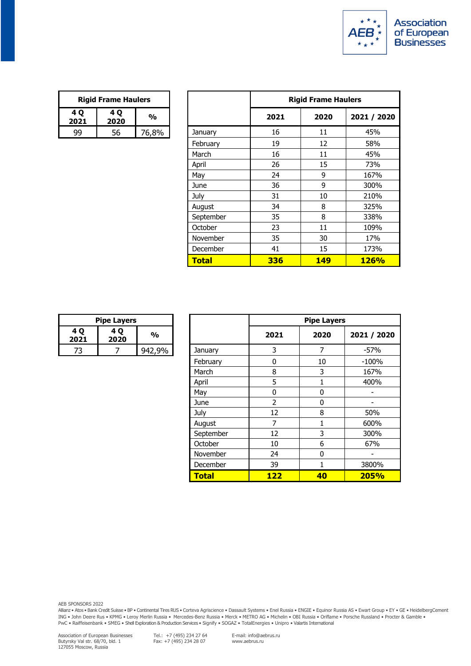

| <b>Rigid Frame Haulers</b> |    |       |  |  |
|----------------------------|----|-------|--|--|
| 4 O<br>2021                | ‰  |       |  |  |
|                            | 56 | 76,8% |  |  |

| <b>Rigid Frame Haulers</b> |             |               |                 | <b>Rigid Frame Haulers</b> |            |             |
|----------------------------|-------------|---------------|-----------------|----------------------------|------------|-------------|
| 1Q<br>021                  | 4 Q<br>2020 | $\frac{1}{2}$ |                 | 2021                       | 2020       | 2021 / 2020 |
| 99                         | 56          | 76,8%         | January         | 16                         | 11         | 45%         |
|                            |             |               | February        | 19                         | 12         | 58%         |
|                            |             |               | March           | 16                         | 11         | 45%         |
|                            |             |               | April           | 26                         | 15         | 73%         |
|                            |             |               | May             | 24                         | 9          | 167%        |
|                            |             |               | June            | 36                         | 9          | 300%        |
|                            |             |               | July            | 31                         | 10         | 210%        |
|                            |             |               | August          | 34                         | 8          | 325%        |
|                            |             |               | September       | 35                         | 8          | 338%        |
|                            |             |               | October         | 23                         | 11         | 109%        |
|                            |             |               | <b>November</b> | 35                         | 30         | 17%         |
|                            |             |               | December        | 41                         | 15         | 173%        |
|                            |             |               | <b>Total</b>    | 336                        | <b>149</b> | <b>126%</b> |

| <b>Pipe Layers</b> |   |        |  |  |
|--------------------|---|--------|--|--|
| 4 O<br>2021        | % |        |  |  |
|                    |   | 942.9% |  |  |

|            | <b>Pipe Layers</b> |               |              | <b>Pipe Layers</b> |      |             |
|------------|--------------------|---------------|--------------|--------------------|------|-------------|
| 1 Q<br>021 | 4 Q<br>2020        | $\frac{1}{2}$ |              | 2021               | 2020 | 2021 / 2020 |
| 73         | 7                  | 942,9%        | January      | 3                  | 7    | $-57%$      |
|            |                    |               | February     | 0                  | 10   | $-100%$     |
|            |                    |               | March        | 8                  | 3    | 167%        |
|            |                    |               | April        | 5                  | 1    | 400%        |
|            |                    |               | May          | 0                  | 0    |             |
|            |                    |               | June         | $\overline{2}$     | 0    |             |
|            |                    |               | July         | 12                 | 8    | 50%         |
|            |                    |               | August       | 7                  | 1    | 600%        |
|            |                    |               | September    | 12                 | 3    | 300%        |
|            |                    |               | October      | 10                 | 6    | 67%         |
|            |                    |               | November     | 24                 | 0    |             |
|            |                    |               | December     | 39                 | 1    | 3800%       |
|            |                    |               | <b>Total</b> | <b>122</b>         | 40   | 205%        |

Allianz • Atos • Bank Credit Suisse • BP • Continental Tires RUS • Corteva Agriscience • Dassault Systems • Enel Russia • ENGIE • Equinor Russia AS • Ewart Group • EY • GE • HeidelbergCement ING • John Deere Rus • KPMG • Leroy Merlin Russia • Mercedes-Benz Russia • Merck • METRO AG • Michelin • OBI Russia • Oriflame • Porsche Russland • Procter & Gamble • PwC • Raiffeisenbank • SMEG • Shell Exploration & Production Services • Signify • SOGAZ • TotalEnergies • Unipro • Valartis International

Tel.: +7 (495) 234 27 64 Fax: +7 (495) 234 28 07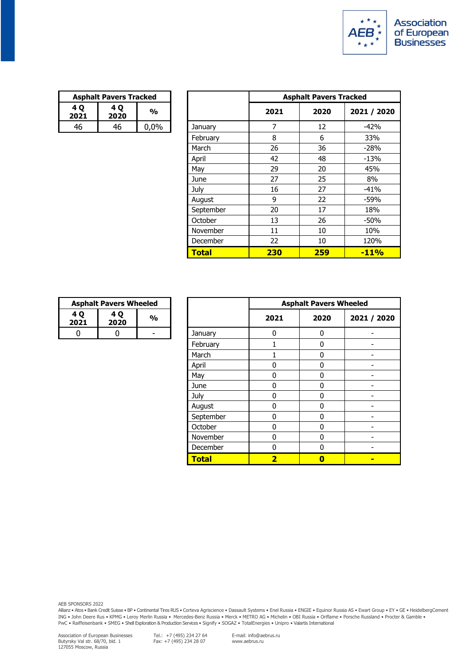

| <b>Asphalt Pavers Tracked</b> |             |         |  |  |
|-------------------------------|-------------|---------|--|--|
| 4 O<br>2021                   | 4 O<br>2020 | %       |  |  |
|                               | 46          | $0.0\%$ |  |  |

|            | <b>Asphalt Pavers Tracked</b> |               |              |      | <b>Asphalt Pavers Tracked</b> |             |  |
|------------|-------------------------------|---------------|--------------|------|-------------------------------|-------------|--|
| 4 Q<br>021 | 4 Q<br>2020                   | $\frac{1}{2}$ |              | 2021 | 2020                          | 2021 / 2020 |  |
| 46         | 46                            | 0,0%          | January      | 7    | 12                            | $-42%$      |  |
|            |                               |               | February     | 8    | 6                             | 33%         |  |
|            |                               |               | March        | 26   | 36                            | $-28%$      |  |
|            |                               |               | April        | 42   | 48                            | $-13%$      |  |
|            |                               |               | May          | 29   | 20                            | 45%         |  |
|            |                               |               | June         | 27   | 25                            | 8%          |  |
|            |                               |               | July         | 16   | 27                            | $-41%$      |  |
|            |                               |               | August       | 9    | 22                            | $-59%$      |  |
|            |                               |               | September    | 20   | 17                            | 18%         |  |
|            |                               |               | October      | 13   | 26                            | $-50%$      |  |
|            |                               |               | November     | 11   | 10                            | 10%         |  |
|            |                               |               | December     | 22   | 10                            | 120%        |  |
|            |                               |               | <b>Total</b> | 230  | 259                           | $-11%$      |  |

| <b>Asphalt Pavers Wheeled</b> |   |  |  |
|-------------------------------|---|--|--|
| 4 O<br>2021                   | % |  |  |
|                               |   |  |  |

|                         | <b>Asphalt Pavers Wheeled</b> |               |              | <b>Asphalt Pavers Wheeled</b> |              |             |
|-------------------------|-------------------------------|---------------|--------------|-------------------------------|--------------|-------------|
| 4 Q<br>2021             | 4 Q<br>2020                   | $\frac{1}{2}$ |              | 2021                          | 2020         | 2021 / 2020 |
| $\overline{\mathbf{0}}$ | 0                             | ۰             | January      | 0                             | 0            |             |
|                         |                               |               | February     | 1                             | $\bf{0}$     |             |
|                         |                               |               | March        |                               | $\mathbf{0}$ |             |
|                         |                               |               | April        | 0                             | 0            |             |
|                         |                               |               | May          | 0                             | $\mathbf{0}$ |             |
|                         |                               |               | June         | 0                             | 0            |             |
|                         |                               |               | July         | 0                             | $\mathbf{0}$ |             |
|                         |                               |               | August       | 0                             | 0            |             |
|                         |                               |               | September    | 0                             | $\bf{0}$     |             |
|                         |                               |               | October      | 0                             | 0            |             |
|                         |                               |               | November     | $\mathbf{0}$                  | $\mathbf{0}$ |             |
|                         |                               |               | December     | 0                             | 0            |             |
|                         |                               |               | <b>Total</b> | $\overline{\mathbf{2}}$       | $\bf{0}$     |             |

AEB SPONSORS 2022

Allianz • Atos • Bank Credit Suisse • BP • Continental Tires RUS • Corteva Agriscience • Dassault Systems • Enel Russia • ENGIE • Equinor Russia AS • Ewart Group • EY • GE • HeidelbergCement ING • John Deere Rus • KPMG • Leroy Merlin Russia • Mercedes-Benz Russia • Merck • METRO AG • Michelin • OBI Russia • Oriflame • Porsche Russland • Procter & Gamble • PwC • Raiffeisenbank • SMEG • Shell Exploration & Production Services • Signify • SOGAZ • TotalEnergies • Unipro • Valartis International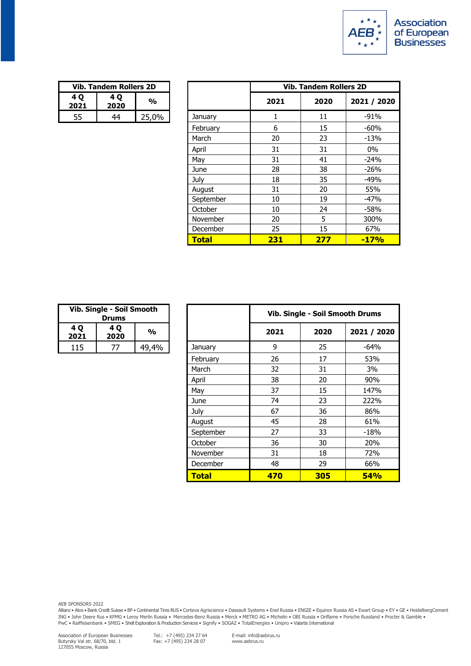

| Vib. Tandem Rollers 2D |             |       |  |  |
|------------------------|-------------|-------|--|--|
| 4 Q<br>2021            | 4 O<br>2020 | %     |  |  |
| 55                     | 44          | 25,0% |  |  |

|            | <b>Vib. Tandem Rollers 2D</b> |               |                 | <b>Vib. Tandem Rollers 2D</b> |      |             |
|------------|-------------------------------|---------------|-----------------|-------------------------------|------|-------------|
| 4 Q<br>021 | 4 Q<br>2020                   | $\frac{1}{2}$ |                 | 2021                          | 2020 | 2021 / 2020 |
| 55         | 44                            | 25,0%         | January         | 1                             | 11   | $-91%$      |
|            |                               |               | February        | 6                             | 15   | $-60%$      |
|            |                               |               | March           | 20                            | 23   | $-13%$      |
|            |                               |               | April           | 31                            | 31   | 0%          |
|            |                               |               | May             | 31                            | 41   | $-24%$      |
|            |                               |               | June            | 28                            | 38   | $-26%$      |
|            |                               |               | July            | 18                            | 35   | $-49%$      |
|            |                               |               | August          | 31                            | 20   | 55%         |
|            |                               |               | September       | 10                            | 19   | $-47%$      |
|            |                               |               | October         | 10                            | 24   | $-58%$      |
|            |                               |               | November        | 20                            | 5    | 300%        |
|            |                               |               | <b>December</b> | 25                            | 15   | 67%         |
|            |                               |               | <b>Total</b>    | 231                           | 277  | $-17%$      |

| Vib. Single - Soil Smooth<br><b>Drums</b> |             |       |  |
|-------------------------------------------|-------------|-------|--|
| 4 Q<br>2021                               | 4 Q<br>2020 | %     |  |
| 115                                       |             | 49.4% |  |

| Vib. Single - Soil Smooth<br><b>Drums</b> |             |               |                 | Vib. Single - Soil Smooth Drums |      |             |
|-------------------------------------------|-------------|---------------|-----------------|---------------------------------|------|-------------|
| 4 Q<br>2021                               | 4 Q<br>2020 | $\frac{1}{2}$ |                 | 2021                            | 2020 | 2021 / 2020 |
| 115                                       | 77          | 49,4%         | January         | 9                               | 25   | $-64%$      |
|                                           |             |               | February        | 26                              | 17   | 53%         |
|                                           |             |               | March           | 32                              | 31   | 3%          |
|                                           |             |               | April           | 38                              | 20   | 90%         |
|                                           |             |               | May             | 37                              | 15   | 147%        |
|                                           |             |               | June            | 74                              | 23   | 222%        |
|                                           |             |               | July            | 67                              | 36   | 86%         |
|                                           |             |               | August          | 45                              | 28   | 61%         |
|                                           |             |               | September       | 27                              | 33   | -18%        |
|                                           |             |               | October         | 36                              | 30   | 20%         |
|                                           |             |               | <b>November</b> | 31                              | 18   | 72%         |
|                                           |             |               | December        | 48                              | 29   | 66%         |
|                                           |             |               | <b>Total</b>    | 470                             | 305  | <b>54%</b>  |

Allianz • Atos • Bank Credit Suisse • BP • Continental Tires RUS • Corteva Agriscience • Dassault Systems • Enel Russia • ENGIE • Equinor Russia AS • Ewart Group • EY • GE • HeidelbergCement ING • John Deere Rus • KPMG • Leroy Merlin Russia • Mercedes-Benz Russia • Merck • METRO AG • Michelin • OBI Russia • Oriflame • Porsche Russland • Procter & Gamble • PwC • Raiffeisenbank • SMEG • Shell Exploration & Production Services • Signify • SOGAZ • TotalEnergies • Unipro • Valartis International

Tel.: +7 (495) 234 27 64 Fax: +7 (495) 234 28 07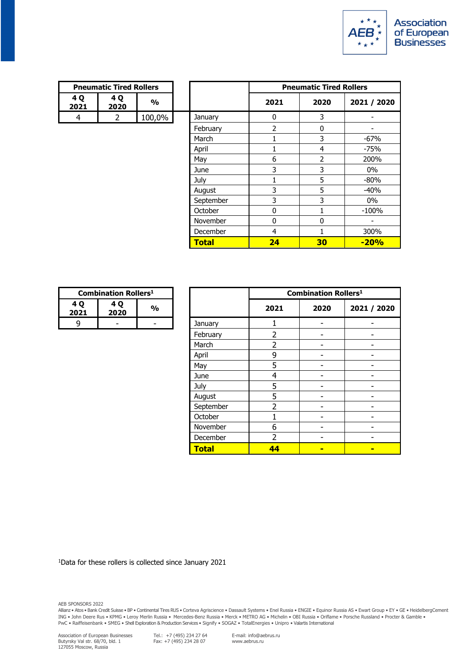

| <b>Pneumatic Tired Rollers</b> |             |        |  |  |
|--------------------------------|-------------|--------|--|--|
| 4 O<br>2021                    | 4 O<br>2020 | %      |  |  |
|                                |             | 100,0% |  |  |

|                | <b>Pneumatic Tired Rollers</b> |               |              |                | <b>Pneumatic Tired Rollers</b> |                          |
|----------------|--------------------------------|---------------|--------------|----------------|--------------------------------|--------------------------|
| 4 Q<br>021     | 4 Q<br>2020                    | $\frac{1}{2}$ |              | 2021           | 2020                           | 2021 / 2020              |
| $\overline{4}$ | 2                              | 100,0%        | January      | 0              | 3                              |                          |
|                |                                |               | February     | $\overline{2}$ | $\Omega$                       | $\overline{\phantom{a}}$ |
|                |                                |               | March        |                | 3                              | $-67%$                   |
|                |                                |               | April        | 1              | $\overline{4}$                 | -75%                     |
|                |                                |               | May          | 6              | $\overline{2}$                 | 200%                     |
|                |                                |               | June         | 3              | 3                              | 0%                       |
|                |                                |               | July         | 1              | 5                              | $-80%$                   |
|                |                                |               | August       | 3              | 5                              | $-40%$                   |
|                |                                |               | September    | 3              | 3                              | $0\%$                    |
|                |                                |               | October      | 0              |                                | $-100%$                  |
|                |                                |               | November     | 0              | $\Omega$                       |                          |
|                |                                |               | December     | 4              |                                | 300%                     |
|                |                                |               | <b>Total</b> | 24             | 30                             | $-20%$                   |

| <b>Combination Rollers<sup>1</sup></b> |               |  |  |
|----------------------------------------|---------------|--|--|
| 4 O<br>2021                            | $\frac{0}{0}$ |  |  |
|                                        |               |  |  |

| <b>Combination Rollers1</b> |             |               |              | <b>Combination Rollers<sup>1</sup></b> |                |                |
|-----------------------------|-------------|---------------|--------------|----------------------------------------|----------------|----------------|
| ۰Q<br>21                    | 4 Q<br>2020 | $\frac{1}{2}$ |              | 2021                                   | 2020           | 2021 / 2020    |
| 9                           | -           |               | January      |                                        | ۰              |                |
|                             |             |               | February     | $\overline{2}$                         |                |                |
|                             |             |               | March        | 2                                      |                |                |
|                             |             |               | April        | 9                                      | ۰              |                |
|                             |             |               | May          | 5                                      |                |                |
|                             |             |               | June         | 4                                      |                |                |
|                             |             |               | July         | 5                                      |                |                |
|                             |             |               | August       | 5                                      |                |                |
|                             |             |               | September    | $\overline{2}$                         |                |                |
|                             |             |               | October      |                                        |                |                |
|                             |             |               | November     | 6                                      |                |                |
|                             |             |               | December     | $\overline{2}$                         |                |                |
|                             |             |               | <b>Total</b> | 44                                     | $\blacksquare$ | $\blacksquare$ |

1Data for these rollers is collected since January 2021

AEB SPONSORS 2022

Allianz • Atos • Bank Credit Suisse • BP • Continental Tires RUS • Corteva Agriscience • Dassault Systems • Enel Russia • ENGIE • Equinor Russia AS • Ewart Group • EY • GE • HeidelbergCement ING • John Deere Rus • KPMG • Leroy Merlin Russia • Mercedes-Benz Russia • Merck • METRO AG • Michelin • OBI Russia • Oriflame • Porsche Russland • Procter & Gamble • PwC • Raiffeisenbank • SMEG • Shell Exploration & Production Services • Signify • SOGAZ • TotalEnergies • Unipro • Valartis International

Tel.: +7 (495) 234 27 64 Fax: +7 (495) 234 28 07